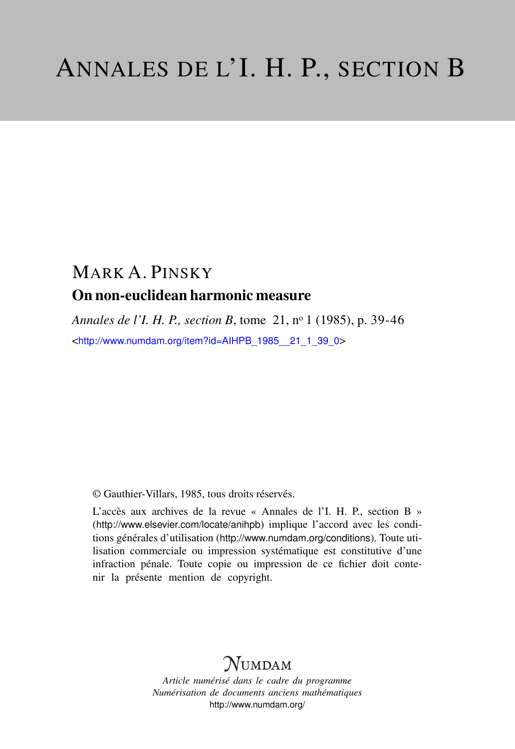# MARK A. PINSKY On non-euclidean harmonic measure

*Annales de l'I. H. P., section B*, tome 21, n<sup>o</sup> 1 (1985), p. 39-46 <[http://www.numdam.org/item?id=AIHPB\\_1985\\_\\_21\\_1\\_39\\_0](http://www.numdam.org/item?id=AIHPB_1985__21_1_39_0)>

© Gauthier-Villars, 1985, tous droits réservés.

L'accès aux archives de la revue « Annales de l'I. H. P., section B » (<http://www.elsevier.com/locate/anihpb>) implique l'accord avec les conditions générales d'utilisation (<http://www.numdam.org/conditions>). Toute utilisation commerciale ou impression systématique est constitutive d'une infraction pénale. Toute copie ou impression de ce fichier doit contenir la présente mention de copyright.

## **NUMDAM**

*Article numérisé dans le cadre du programme Numérisation de documents anciens mathématiques* <http://www.numdam.org/>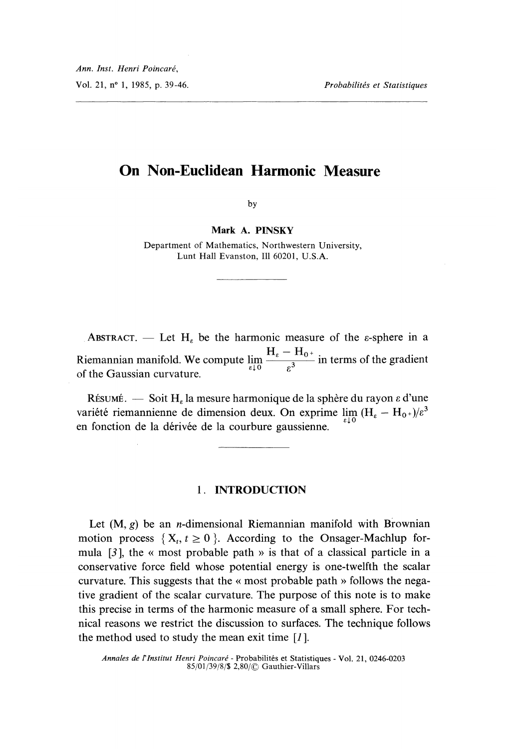## On Non-Euclidean Harmonic Measure

by

Mark A. PINSKY

Department of Mathematics, Northwestern University, Lunt Hall Evanston, Ill 60201, U.S.A.

ABSTRACT. - Let H<sub> $\epsilon$ </sub> be the harmonic measure of the  $\epsilon$ -sphere in a Riemannian manifold. We compute  $\lim_{\varepsilon \downarrow 0} \frac{H_{\varepsilon}}{\varepsilon^3}$  in terms of the gradient of the Gaussian curvature.

RÉSUMÉ.  $-$  Soit H<sub>e</sub> la mesure harmonique de la sphère du rayon  $\varepsilon$  d'une variété riemannienne de dimension deux. On exprime  $\lim_{\varepsilon \downarrow 0} (H_{\varepsilon} - H_{0+})/\varepsilon^3$  en fonction de la dérivée de la courbure gaussienne.

#### 1. INTRODUCTION

Let  $(M, g)$  be an *n*-dimensional Riemannian manifold with Brownian motion process  $\{X_t, t \geq 0\}$ . According to the Onsager-Machlup formula  $[3]$ , the « most probable path » is that of a classical particle in a conservative force field whose potential energy is one-twelfth the scalar curvature. This suggests that the « most probable path » follows the negative gradient of the scalar curvature. The purpose of this note is to make this precise in terms of the harmonic measure of a small sphere. For technical reasons we restrict the discussion to surfaces. The technique follows the method used to study the mean exit time  $\lfloor l \rfloor$ .

Annales de l'Institut Henri Poincaré - Probabilités et Statistiques - Vol. 21, 0246-0203 85/01/39/8/\$ 2,80/C Gauthier-Villars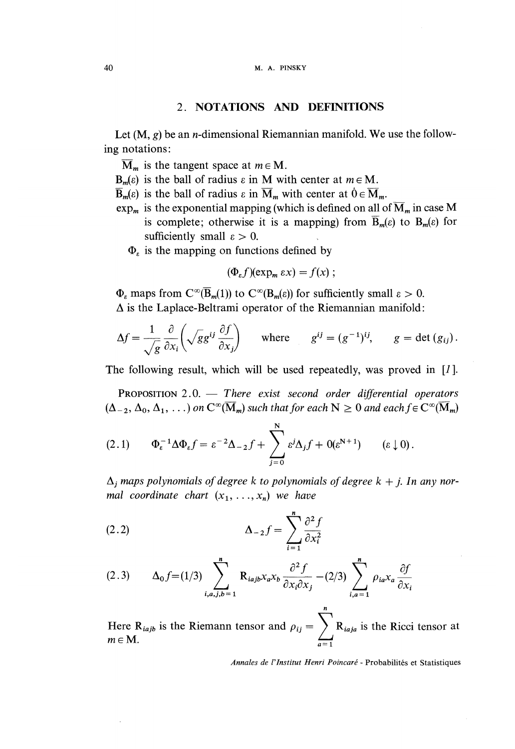#### 2. NOTATIONS AND DEFINITIONS

Let  $(M, g)$  be an *n*-dimensional Riemannian manifold. We use the following notations :

 $\overline{\mathbf{M}}_m$  is the tangent space at  $m \in \mathbf{M}$ .

- $B_m(\varepsilon)$  is the ball of radius  $\varepsilon$  in M with center at  $m \in M$ .
- $\overline{\mathbf{B}}_m(\varepsilon)$  is the ball of radius  $\varepsilon$  in  $\overline{\mathbf{M}}_m$  with center at  $0 \in \overline{\mathbf{M}}_m$ .
- $\exp_m$  is the exponential mapping (which is defined on all of  $\overline{M}_m$  in case M is complete; otherwise it is a mapping) from  $\overline{B}_m(\varepsilon)$  to  $B_m(\varepsilon)$  for sufficiently small  $\varepsilon > 0$ .
	- $\Phi_{\epsilon}$  is the mapping on functions defined by

$$
(\Phi_{\varepsilon} f)(\exp_m \varepsilon x) = f(x);
$$

 $\Phi_{\varepsilon}$  maps from  $C^{\infty}(\overline{B}_m(1))$  to  $C^{\infty}(B_m(\varepsilon))$  for sufficiently small  $\varepsilon > 0$ .  $\Delta$  is the Laplace-Beltrami operator of the Riemannian manifold:

$$
\Delta f = \frac{1}{\sqrt{g}} \frac{\partial}{\partial x_i} \left( \sqrt{g} g^{ij} \frac{\partial f}{\partial x_j} \right) \quad \text{where} \quad g^{ij} = (g^{-1})^{ij}, \quad g = \det (g_{ij}).
$$

The following result, which will be used repeatedly, was proved in [1].

PROPOSITION  $2.0$ . - There exist second order differential operators  $(\Delta_{-2}, \Delta_0, \Delta_1, ...)$  on  $C^{\infty}(\overline{M}_m)$  such that for each  $N \geq 0$  and each  $f \in C^{\infty}(\overline{M}_m)$ 

$$
(2.1) \qquad \Phi_{\varepsilon}^{-1} \Delta \Phi_{\varepsilon} f = \varepsilon^{-2} \Delta_{-2} f + \sum_{j=0}^{N} \varepsilon^{j} \Delta_{j} f + O(\varepsilon^{N+1}) \qquad (\varepsilon \downarrow 0).
$$

 $\Delta_i$  maps polynomials of degree k to polynomials of degree  $k + j$ . In any normal coordinate chart  $(x_1, \ldots, x_n)$  we have

(2.2) 
$$
\Delta_{-2}f = \sum_{i=1}^{n} \frac{\partial^2 f}{\partial x_i^2}
$$

$$
(2.3) \qquad \Delta_0 f = (1/3) \sum_{i,a,j,b=1}^n R_{iajb} x_a x_b \frac{\partial^2 f}{\partial x_i \partial x_j} - (2/3) \sum_{i,a=1}^n \rho_{ia} x_a \frac{\partial f}{\partial x_i}
$$

Here  $R_{iajb}$  is the Riemann tensor and  $\rho_{ij} = \sum R_{iaja}$  is the Ricci tensor at  $m \in M$ .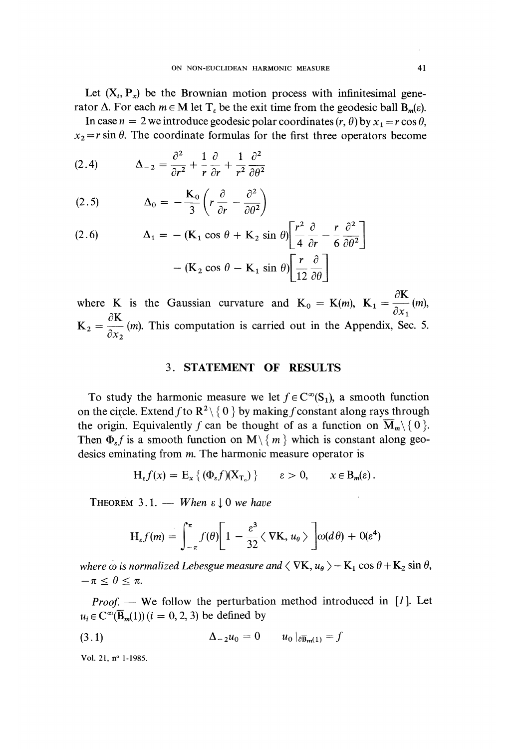Let  $(X_t, P_x)$  be the Brownian motion process with infinitesimal generator  $\Delta$ . For each  $m \in M$  let  $T<sub>s</sub>$  be the exit time from the geodesic ball  $B<sub>m</sub>(\varepsilon)$ .

In case  $n = 2$  we introduce geodesic polar coordinates  $(r, \theta)$  by  $x_1 = r \cos \theta$ ,  $x_2 = r \sin \theta$ . The coordinate formulas for the first three operators become

(2.4) 
$$
\Delta_{-2} = \frac{\partial^2}{\partial r^2} + \frac{1}{r} \frac{\partial}{\partial r} + \frac{1}{r^2} \frac{\partial^2}{\partial \theta^2}
$$

$$
(2.5) \qquad \Delta_0 = -\frac{\mathbf{K}_0}{3} \left( r \frac{\partial}{\partial r} - \frac{\partial^2}{\partial \theta^2} \right)
$$

(2.6) 
$$
\Delta_1 = -(\mathbf{K}_1 \cos \theta + \mathbf{K}_2 \sin \theta) \left[ \frac{r^2}{4} \frac{\partial}{\partial r} - \frac{r}{6} \frac{\partial^2}{\partial \theta^2} \right] -(\mathbf{K}_2 \cos \theta - \mathbf{K}_1 \sin \theta) \left[ \frac{r}{12} \frac{\partial}{\partial \theta} \right]
$$

where K is the Gaussian curvature and  $K_0 = K(m)$ ,  $K_1 = \frac{\partial K}{\partial x_1}(m)$ ,  $\partial K$  $\partial K$  . This commission is comist on in the August 1:  $K_2 = \frac{1}{\partial x_2}$  (*m*). This computation is carried out in the Appendix, Sec. 5.

#### 3. STATEMENT OF RESULTS

To study the harmonic measure we let  $f \in C^{\infty}(S_1)$ , a smooth function on the circle. Extend f to  $\mathbb{R}^2 \setminus \{0\}$  by making f constant along rays through the origin. Equivalently f can be thought of as a function on  $\overline{M}_m \setminus \{0\}$ . Then  $\Phi_{\varepsilon} f$  is a smooth function on  $\mathbf{M} \setminus \{ m \}$  which is constant along geodesics eminating from *m*. The harmonic measure operator is

$$
H_{\varepsilon}f(x) = E_x \{ (\Phi_{\varepsilon}f)(X_{T_{\varepsilon}}) \} \qquad \varepsilon > 0, \qquad x \in B_m(\varepsilon).
$$

THEOREM 3.1. - When  $\epsilon \downarrow 0$  we have

$$
H_{\varepsilon}f(m) = \int_{-\pi}^{\pi} f(\theta) \bigg[ 1 - \frac{\varepsilon^3}{32} \langle \nabla K, u_{\theta} \rangle \bigg] \omega(d\theta) + O(\varepsilon^4)
$$

where  $\omega$  is normalized Lebesgue measure and  $\langle \nabla \mathbf{K}, u_{\theta} \rangle = \mathbf{K}_1 \cos \theta + \mathbf{K}_2 \sin \theta$ ,  $-\pi \leq \theta \leq \pi$ .

*Proof.* — We follow the perturbation method introduced in [1]. Let  $u_i \in C^{\infty}(\overline{B}_m(1))$   $(i = 0, 2, 3)$  be defined by

$$
\Delta_{-2}u_0 = 0 \qquad u_0|_{\partial \overline{\mathbf{B}}_{m}(1)} = f
$$

Vol. 21, n° 1-1985.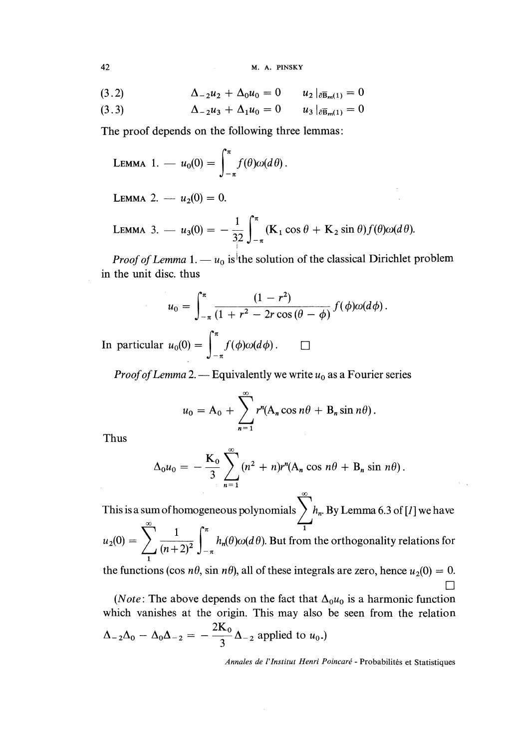$$
M. A. PINSKY
$$

(3.3) 
$$
\Delta_{-2}u_{3} + \Delta_{1}u_{0} = 0 \qquad u_{3}|_{\partial \bar{B}_{m}(1)} = 0
$$

The proof depends on the following three lemmas:

LEMMA 1. — 
$$
u_0(0) = \int_{-\pi}^{\pi} f(\theta) \omega(d\theta)
$$
.

LEMMA 2.  $-u_2(0) = 0$ .

LEMMA 3. 
$$
u_3(0) = -\frac{1}{3^2} \int_{-\pi}^{\pi} (\mathbf{K}_1 \cos \theta + \mathbf{K}_2 \sin \theta) f(\theta) \omega(d\theta).
$$

*Proof of Lemma* 1. —  $u_0$  is the solution of the classical Dirichlet problem in the unit disc. thus

$$
u_0 = \int_{-\pi}^{\pi} \frac{(1 - r^2)}{(1 + r^2 - 2r\cos(\theta - \phi))} f(\phi) \omega(d\phi).
$$

In particular  $u_0(0) = \int_{-\pi}^{\pi} f(\phi) \omega(d\phi)$ .  $\Box$ 

*Proof of Lemma* 2. — Equivalently we write  $u_0$  as a Fourier series

$$
u_0 = A_0 + \sum_{n=1}^{\infty} r^n (A_n \cos n\theta + B_n \sin n\theta).
$$

Thus

$$
\Delta_0 u_0 = -\frac{K_0}{3} \sum_{n=1}^{\infty} (n^2 + n)r^n (A_n \cos n\theta + B_n \sin n\theta).
$$

This is a sum of homogeneous polynomials  $\ \big\} \ h_n$ . By Lemma 6.3 of [1] we have  $u_2(0) = \sum_{1} \overline{(n+2)^2} \int_{-\pi}^{\pi} h_n(\theta) \omega(d\theta)$ . But from the orthogonality relations for

the functions (cos  $n\theta$ , sin  $n\theta$ ), all of these integrals are zero, hence  $u_2(0) = 0$ .  $\Box$ 

(*Note*: The above depends on the fact that  $\Delta_0 u_0$  is a harmonic function which vanishes at the origin. This may also be seen from the relation  $\Delta_{-2}\Delta_0-\Delta_0\Delta_{-2}=-\frac{2K_0}{3}\Delta_{-2}$  applied to  $u_0$ .)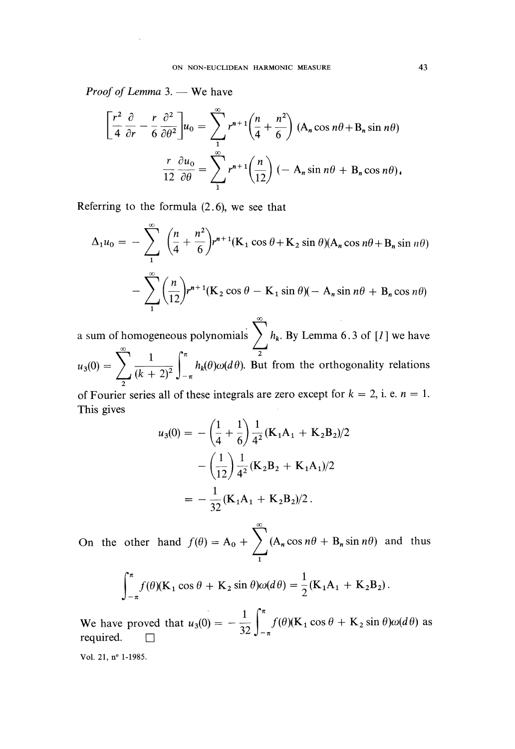Proof of Lemma 3. - We have

$$
\left[\frac{r^2}{4}\frac{\partial}{\partial r} - \frac{r}{6}\frac{\partial^2}{\partial \theta^2}\right]u_0 = \sum_{1}^{\infty} r^{n+1} \left(\frac{n}{4} + \frac{n^2}{6}\right) (A_n \cos n\theta + B_n \sin n\theta)
$$

$$
\frac{r}{12}\frac{\partial u_0}{\partial \theta} = \sum_{1}^{\infty} r^{n+1} \left(\frac{n}{12}\right) (-A_n \sin n\theta + B_n \cos n\theta).
$$

Referring to the formula (2.6), we see that

$$
\Delta_1 u_0 = -\sum_{1}^{\infty} \left(\frac{n}{4} + \frac{n^2}{6}\right) r^{n+1} (\mathbf{K}_1 \cos \theta + \mathbf{K}_2 \sin \theta) (\mathbf{A}_n \cos n\theta + \mathbf{B}_n \sin n\theta)
$$

$$
-\sum_{1}^{\infty} \left(\frac{n}{12}\right) r^{n+1} (\mathbf{K}_2 \cos \theta - \mathbf{K}_1 \sin \theta) (-\mathbf{A}_n \sin n\theta + \mathbf{B}_n \cos n\theta)
$$

00 . a sum of homogeneous polynomials  $\sum_{k=1}^{\infty} h_k$ . By Lemma 6.3 of [1] we have  $u_3(0) = \sum_2 \frac{1}{(k+2)^2} \int_{-\pi}^{\pi} h_k(\theta) \omega(d\theta)$ . But from the

of Fourier series all of these integrals are zero except for  $k = 2$ , i. e.  $n = 1$ . This gives

$$
u_3(0) = -\left(\frac{1}{4} + \frac{1}{6}\right) \frac{1}{4^2} (\mathbf{K}_1 \mathbf{A}_1 + \mathbf{K}_2 \mathbf{B}_2)/2
$$

$$
-\left(\frac{1}{12}\right) \frac{1}{4^2} (\mathbf{K}_2 \mathbf{B}_2 + \mathbf{K}_1 \mathbf{A}_1)/2
$$

$$
= -\frac{1}{32} (\mathbf{K}_1 \mathbf{A}_1 + \mathbf{K}_2 \mathbf{B}_2)/2.
$$

 $\bf{c}$ On the other hand  $f(\theta) = A_0 + \sum_{n=1}^{\infty} (A_n \cos n\theta + B_n \sin n\theta)$  and thus 1

$$
\int_{-\pi}^{\pi} f(\theta)(\mathbf{K}_1 \cos \theta + \mathbf{K}_2 \sin \theta) \omega(d\theta) = \frac{1}{2} (\mathbf{K}_1 \mathbf{A}_1 + \mathbf{K}_2 \mathbf{B}_2).
$$

We have proved that  $u_3(0) = -\frac{1}{32} \int_{-\pi}^{\pi} f(\theta) (\mathbf{K}_1 \cos \theta + \mathbf{K}_2 \sin \theta) \omega(d\theta)$  as required.  $\Box$ 

Vol. 21, n° 1-1985.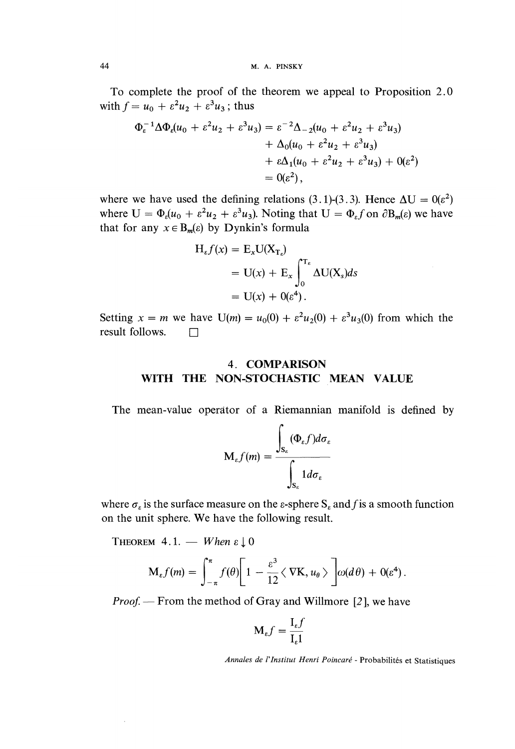To complete the proof of the theorem we appeal to Proposition 2.0 with  $f = u_0 + \varepsilon^2 u_2 + \varepsilon^3 u_3$ ; thus

$$
\Phi_{\varepsilon}^{-1} \Delta \Phi_{\varepsilon} (u_0 + \varepsilon^2 u_2 + \varepsilon^3 u_3) = \varepsilon^{-2} \Delta_{-2} (u_0 + \varepsilon^2 u_2 + \varepsilon^3 u_3) \n+ \Delta_0 (u_0 + \varepsilon^2 u_2 + \varepsilon^3 u_3) \n+ \varepsilon \Delta_1 (u_0 + \varepsilon^2 u_2 + \varepsilon^3 u_3) + 0(\varepsilon^2) \n= 0(\varepsilon^2),
$$

where we have used the defining relations (3.1)-(3.3). Hence  $\Delta U = 0(\epsilon^2)$ where  $U = \Phi_{\epsilon}(u_0 + \epsilon^2 u_2 + \epsilon^3 u_3)$ . Noting that  $U = \Phi_{\epsilon} f$  on  $\partial B_m(\epsilon)$  we have that for any  $x \in B_m(\varepsilon)$  by Dynkin's formula

$$
H_{\varepsilon}f(x) = E_x U(X_{T_{\varepsilon}})
$$
  
= U(x) + E<sub>x</sub>  $\int_0^{T_{\varepsilon}} \Delta U(X_s) ds$   
= U(x) + O(\varepsilon^4).

Setting  $x = m$  we have  $U(m) = u_0(0) + \varepsilon^2 u_2(0) + \varepsilon^3 u_3(0)$  from which the result follows.  $\square$ 

### 4. COMPARISON WITH THE NON-STOCHASTIC MEAN VALUE

The mean-value operator of a Riemannian manifold is defined by

$$
\mathbf{M}_{\varepsilon}f(m) = \frac{\int_{\mathbf{S}_{\varepsilon}} (\Phi_{\varepsilon}f)d\sigma_{\varepsilon}}{\int_{\mathbf{S}_{\varepsilon}} 1 d\sigma_{\varepsilon}}
$$

where  $\sigma_{\varepsilon}$  is the surface measure on the  $\varepsilon$ -sphere  $S_{\varepsilon}$  and f is a smooth function on the unit sphere. We have the following result.

THEOREM 4.1. - When  $\varepsilon \downarrow 0$ 

$$
\mathbf{M}_{\varepsilon}f(m)=\int_{-\pi}^{\pi}f(\theta)\bigg[1-\frac{\varepsilon^3}{12}\big\langle \nabla\mathbf{K},u_{\theta}\big\rangle\bigg]\omega(d\theta)+0(\varepsilon^4).
$$

*Proof.* — From the method of Gray and Willmore  $[2]$ , we have

$$
\mathbf{M}_{\varepsilon}f = \frac{\mathbf{I}_{\varepsilon}f}{\mathbf{I}_{\varepsilon}1}
$$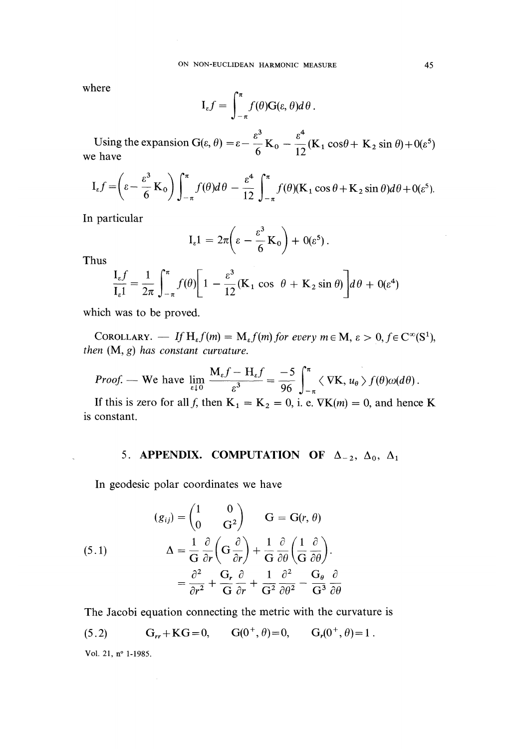where

$$
I_{\varepsilon}f = \int_{-\pi}^{\pi} f(\theta)G(\varepsilon, \theta)d\theta.
$$

Using the expansion  $G(\varepsilon, \theta) = \varepsilon - \frac{\varepsilon^3}{6} K_0 - \frac{\varepsilon^4}{12} (K_1 \cos \theta + K_2 \sin \theta) + O(\varepsilon^5)$ we have

$$
I_{\varepsilon}f = \left(\varepsilon - \frac{\varepsilon^3}{6} K_0\right) \int_{-\pi}^{\pi} f(\theta) d\theta - \frac{\varepsilon^4}{12} \int_{-\pi}^{\pi} f(\theta) (K_1 \cos \theta + K_2 \sin \theta) d\theta + O(\varepsilon^5).
$$

In particular

$$
I_{\varepsilon}1 = 2\pi \bigg(\varepsilon - \frac{\varepsilon^3}{6} K_0\bigg) + 0(\varepsilon^5).
$$

Thus

$$
\frac{I_{\varepsilon}f}{I_{\varepsilon}1} = \frac{1}{2\pi} \int_{-\pi}^{\pi} f(\theta) \bigg[ 1 - \frac{\varepsilon^3}{12} (\mathbf{K}_1 \cos \theta + \mathbf{K}_2 \sin \theta) \bigg] d\theta + 0(\varepsilon^4)
$$

which was to be proved.

COROLLARY. — If  $H_{\varepsilon}f(m) = M_{\varepsilon}f(m)$  for every  $m \in M$ ,  $\varepsilon >$ then  $(M, g)$  has constant curvature.

*Proof.* — We have  $\lim_{\varepsilon \downarrow 0} \frac{M_{\varepsilon}f - H_{\varepsilon}f}{\varepsilon^3} = \frac{-5}{96} \int_{-\pi}^{\pi} \langle \nabla K, u_{\theta} \rangle f(\theta) \omega(d\theta).$ 

If this is zero for all f, then  $K_1 = K_2 = 0$ , i. e.  $\nabla K(m) = 0$ , and hence K is constant.

### 5. APPENDIX. COMPUTATION OF  $\Delta_{-2}$ ,  $\Delta_0$ ,  $\Delta_1$

In geodesic polar coordinates we have

(5.1)  
\n
$$
\begin{aligned}\n(g_{ij}) &= \begin{pmatrix} 1 & 0 \\ 0 & G^2 \end{pmatrix} & G = G(r, \theta) \\
\Delta &= \frac{1}{G} \frac{\partial}{\partial r} \left( G \frac{\partial}{\partial r} \right) + \frac{1}{G} \frac{\partial}{\partial \theta} \left( \frac{1}{G} \frac{\partial}{\partial \theta} \right) \\
&= \frac{\partial^2}{\partial r^2} + \frac{G_r}{G} \frac{\partial}{\partial r} + \frac{1}{G^2} \frac{\partial^2}{\partial \theta^2} - \frac{G_\theta}{G^3} \frac{\partial}{\partial \theta}\n\end{aligned}
$$

The Jacobi equation connecting the metric with the curvature is

(5.2) 
$$
G_{rr} + KG = 0
$$
,  $G(0^+, \theta) = 0$ ,  $G_r(0^+, \theta) = 1$ .

Vol. 21, n° 1-1985.